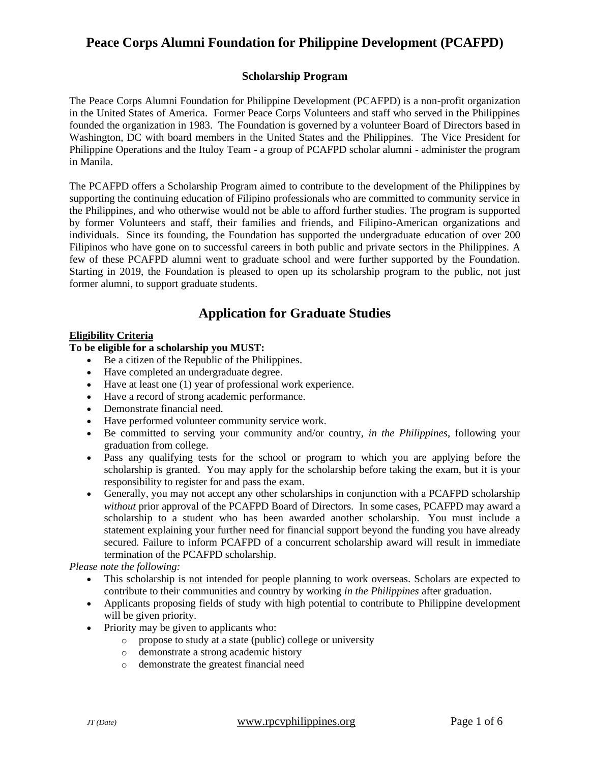### **Scholarship Program**

The Peace Corps Alumni Foundation for Philippine Development (PCAFPD) is a non-profit organization in the United States of America. Former Peace Corps Volunteers and staff who served in the Philippines founded the organization in 1983. The Foundation is governed by a volunteer Board of Directors based in Washington, DC with board members in the United States and the Philippines. The Vice President for Philippine Operations and the Ituloy Team - a group of PCAFPD scholar alumni - administer the program in Manila.

The PCAFPD offers a Scholarship Program aimed to contribute to the development of the Philippines by supporting the continuing education of Filipino professionals who are committed to community service in the Philippines, and who otherwise would not be able to afford further studies. The program is supported by former Volunteers and staff, their families and friends, and Filipino-American organizations and individuals. Since its founding, the Foundation has supported the undergraduate education of over 200 Filipinos who have gone on to successful careers in both public and private sectors in the Philippines. A few of these PCAFPD alumni went to graduate school and were further supported by the Foundation. Starting in 2019, the Foundation is pleased to open up its scholarship program to the public, not just former alumni, to support graduate students.

# **Application for Graduate Studies**

### **Eligibility Criteria**

### **To be eligible for a scholarship you MUST:**

- Be a citizen of the Republic of the Philippines.
- Have completed an undergraduate degree.
- Have at least one (1) year of professional work experience.
- Have a record of strong academic performance.
- Demonstrate financial need.
- Have performed volunteer community service work.
- Be committed to serving your community and/or country, *in the Philippines*, following your graduation from college.
- Pass any qualifying tests for the school or program to which you are applying before the scholarship is granted. You may apply for the scholarship before taking the exam, but it is your responsibility to register for and pass the exam.
- Generally, you may not accept any other scholarships in conjunction with a PCAFPD scholarship *without* prior approval of the PCAFPD Board of Directors. In some cases, PCAFPD may award a scholarship to a student who has been awarded another scholarship. You must include a statement explaining your further need for financial support beyond the funding you have already secured. Failure to inform PCAFPD of a concurrent scholarship award will result in immediate termination of the PCAFPD scholarship.

*Please note the following:*

- This scholarship is not intended for people planning to work overseas. Scholars are expected to contribute to their communities and country by working *in the Philippines* after graduation.
- Applicants proposing fields of study with high potential to contribute to Philippine development will be given priority.
- Priority may be given to applicants who:
	- o propose to study at a state (public) college or university
	- o demonstrate a strong academic history
	- o demonstrate the greatest financial need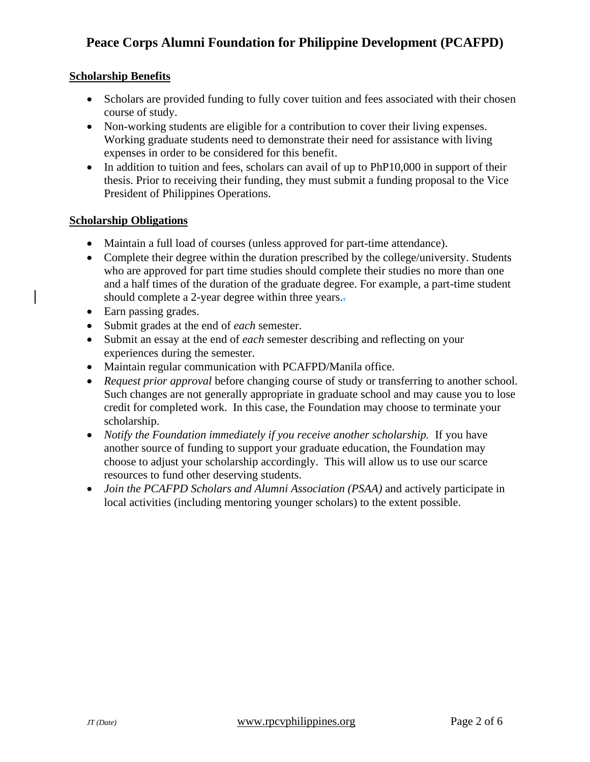### **Scholarship Benefits**

- Scholars are provided funding to fully cover tuition and fees associated with their chosen course of study.
- Non-working students are eligible for a contribution to cover their living expenses. Working graduate students need to demonstrate their need for assistance with living expenses in order to be considered for this benefit.
- In addition to tuition and fees, scholars can avail of up to PhP10,000 in support of their thesis. Prior to receiving their funding, they must submit a funding proposal to the Vice President of Philippines Operations.

### **Scholarship Obligations**

- Maintain a full load of courses (unless approved for part-time attendance).
- Complete their degree within the duration prescribed by the college/university. Students who are approved for part time studies should complete their studies no more than one and a half times of the duration of the graduate degree. For example, a part-time student should complete a 2-year degree within three years..
- Earn passing grades.
- Submit grades at the end of *each* semester.
- Submit an essay at the end of *each* semester describing and reflecting on your experiences during the semester.
- Maintain regular communication with PCAFPD/Manila office.
- *Request prior approval* before changing course of study or transferring to another school. Such changes are not generally appropriate in graduate school and may cause you to lose credit for completed work. In this case, the Foundation may choose to terminate your scholarship.
- *Notify the Foundation immediately if you receive another scholarship.* If you have another source of funding to support your graduate education, the Foundation may choose to adjust your scholarship accordingly. This will allow us to use our scarce resources to fund other deserving students.
- *Join the PCAFPD Scholars and Alumni Association (PSAA)* and actively participate in local activities (including mentoring younger scholars) to the extent possible.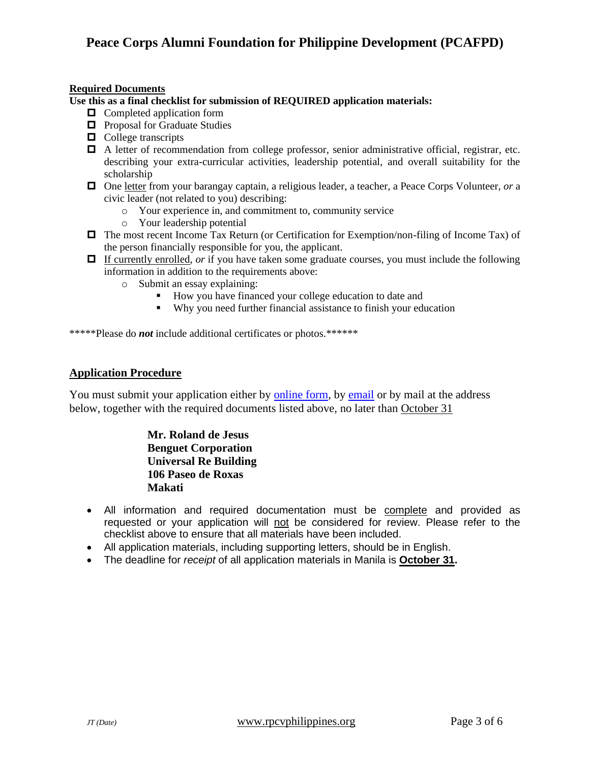#### **Required Documents**

**Use this as a final checklist for submission of REQUIRED application materials:**

- $\Box$  Completed application form
- $\Box$  Proposal for Graduate Studies
- $\Box$  College transcripts
- $\Box$  A letter of recommendation from college professor, senior administrative official, registrar, etc. describing your extra-curricular activities, leadership potential, and overall suitability for the scholarship
- One letter from your barangay captain, a religious leader, a teacher, a Peace Corps Volunteer, *or* a civic leader (not related to you) describing:
	- o Your experience in, and commitment to, community service
	- o Your leadership potential
- The most recent Income Tax Return (or Certification for Exemption/non-filing of Income Tax) of the person financially responsible for you, the applicant.
- □ If currently enrolled, *or* if you have taken some graduate courses, you must include the following information in addition to the requirements above:
	- o Submit an essay explaining:
		- How you have financed your college education to date and
		- Why you need further financial assistance to finish your education

\*\*\*\*\*Please do *not* include additional certificates or photos.\*\*\*\*\*\*

### **Application Procedure**

You must submit your application either by [online form,](https://docs.google.com/forms/d/e/1FAIpQLScl6E7mO-N38WIMBK_AvmWDr6Rw22GPUCut6YUNHEr_Kq48pQ/formResponse) by [email](mailto:pcafpdphilopns@gmail.com?cc=rpdeejay@yahoo.com&subject=Submission%3A%20PCAFPD%20Application) or by mail at the address below, together with the required documents listed above, no later than October 31

> **Mr. Roland de Jesus Benguet Corporation Universal Re Building 106 Paseo de Roxas Makati**

- All information and required documentation must be complete and provided as requested or your application will not be considered for review. Please refer to the checklist above to ensure that all materials have been included.
- All application materials, including supporting letters, should be in English.
- The deadline for *receipt* of all application materials in Manila is **October 31.**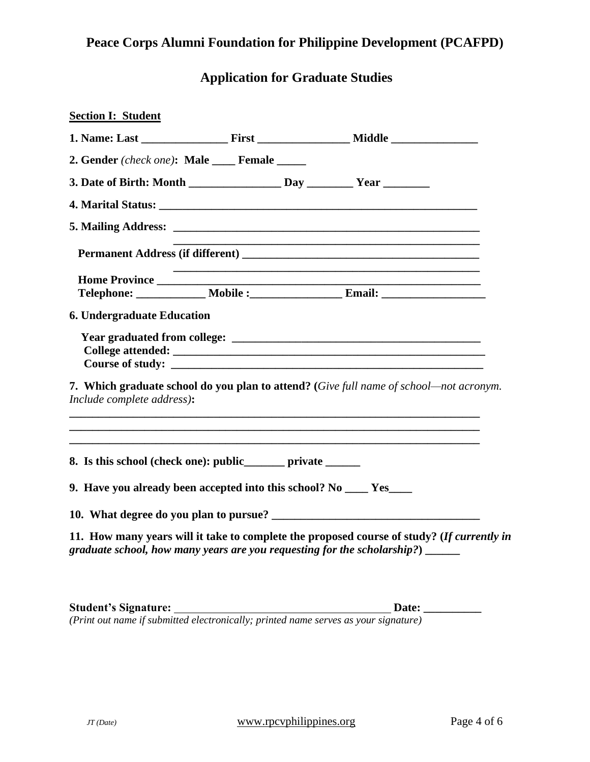# **Application for Graduate Studies**

| <b>Section I: Student</b>                                                                              |                                                                                            |  |
|--------------------------------------------------------------------------------------------------------|--------------------------------------------------------------------------------------------|--|
|                                                                                                        |                                                                                            |  |
| 2. Gender (check one): Male Female                                                                     |                                                                                            |  |
|                                                                                                        |                                                                                            |  |
|                                                                                                        |                                                                                            |  |
|                                                                                                        |                                                                                            |  |
|                                                                                                        |                                                                                            |  |
|                                                                                                        |                                                                                            |  |
|                                                                                                        |                                                                                            |  |
| <b>6. Undergraduate Education</b>                                                                      |                                                                                            |  |
|                                                                                                        |                                                                                            |  |
| Include complete address):                                                                             | 7. Which graduate school do you plan to attend? (Give full name of school-not acronym.     |  |
| 8. Is this school (check one): public______ private ______                                             |                                                                                            |  |
| 9. Have you already been accepted into this school? No ____ Yes____                                    |                                                                                            |  |
|                                                                                                        | 10. What degree do you plan to pursue?                                                     |  |
| graduate school, how many years are you requesting for the scholarship?) $\sqrt{\frac{2}{1-\epsilon}}$ | 11. How many years will it take to complete the proposed course of study? (If currently in |  |

**Student's Signature: Date: \_\_\_\_\_\_\_\_\_\_**

*(Print out name if submitted electronically; printed name serves as your signature)*